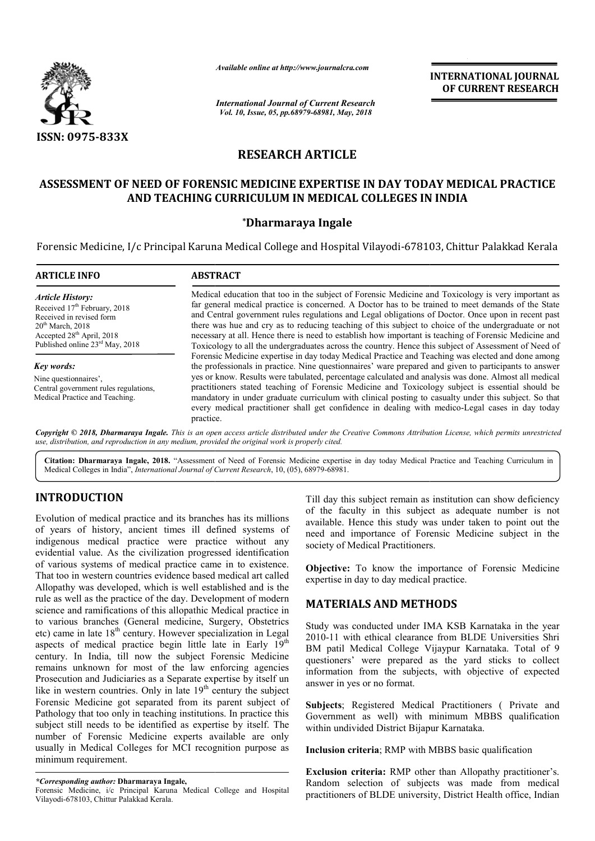

*Available online at http://www.journalcra.com*

# **RESEARCH ARTICLE**

## **ASSESSMENT OF NEED OF FORENSIC MEDICINE EXPERTISE IN DAY TODAY MEDICAL PRACTICE TODAY MEDICAL PRACTICE AND TEACHING CURRICULUM IN MEDICAL COLLEGES IN INDIA**

### **\*Dharmaraya Ingale**

|                                                                                                                                                                                                                                                                                                                                                                                                                                                                                                                                                                                                                                                                                                                                   | атишные опине иг пир.//www.journaicra.com                                                                                                                                                                                                                                                                                                                                                                                                                                                                                                                                                                                                                                                                                                                                                                                                                                                                                                                                                                                                                                                                                                                                                                                                                                                | <b>INTERNATIONAL JOURNAL</b><br>OF CURRENT RESEARCH                                                                                                                                                                                                                                                                                      |
|-----------------------------------------------------------------------------------------------------------------------------------------------------------------------------------------------------------------------------------------------------------------------------------------------------------------------------------------------------------------------------------------------------------------------------------------------------------------------------------------------------------------------------------------------------------------------------------------------------------------------------------------------------------------------------------------------------------------------------------|------------------------------------------------------------------------------------------------------------------------------------------------------------------------------------------------------------------------------------------------------------------------------------------------------------------------------------------------------------------------------------------------------------------------------------------------------------------------------------------------------------------------------------------------------------------------------------------------------------------------------------------------------------------------------------------------------------------------------------------------------------------------------------------------------------------------------------------------------------------------------------------------------------------------------------------------------------------------------------------------------------------------------------------------------------------------------------------------------------------------------------------------------------------------------------------------------------------------------------------------------------------------------------------|------------------------------------------------------------------------------------------------------------------------------------------------------------------------------------------------------------------------------------------------------------------------------------------------------------------------------------------|
|                                                                                                                                                                                                                                                                                                                                                                                                                                                                                                                                                                                                                                                                                                                                   | <b>International Journal of Current Research</b><br>Vol. 10, Issue, 05, pp.68979-68981, May, 2018                                                                                                                                                                                                                                                                                                                                                                                                                                                                                                                                                                                                                                                                                                                                                                                                                                                                                                                                                                                                                                                                                                                                                                                        |                                                                                                                                                                                                                                                                                                                                          |
| <b>ISSN: 0975-833X</b>                                                                                                                                                                                                                                                                                                                                                                                                                                                                                                                                                                                                                                                                                                            |                                                                                                                                                                                                                                                                                                                                                                                                                                                                                                                                                                                                                                                                                                                                                                                                                                                                                                                                                                                                                                                                                                                                                                                                                                                                                          |                                                                                                                                                                                                                                                                                                                                          |
|                                                                                                                                                                                                                                                                                                                                                                                                                                                                                                                                                                                                                                                                                                                                   | <b>RESEARCH ARTICLE</b>                                                                                                                                                                                                                                                                                                                                                                                                                                                                                                                                                                                                                                                                                                                                                                                                                                                                                                                                                                                                                                                                                                                                                                                                                                                                  |                                                                                                                                                                                                                                                                                                                                          |
|                                                                                                                                                                                                                                                                                                                                                                                                                                                                                                                                                                                                                                                                                                                                   |                                                                                                                                                                                                                                                                                                                                                                                                                                                                                                                                                                                                                                                                                                                                                                                                                                                                                                                                                                                                                                                                                                                                                                                                                                                                                          | ASSESSMENT OF NEED OF FORENSIC MEDICINE EXPERTISE IN DAY TODAY MEDICAL PRACTICE<br>AND TEACHING CURRICULUM IN MEDICAL COLLEGES IN INDIA                                                                                                                                                                                                  |
|                                                                                                                                                                                                                                                                                                                                                                                                                                                                                                                                                                                                                                                                                                                                   | *Dharmaraya Ingale                                                                                                                                                                                                                                                                                                                                                                                                                                                                                                                                                                                                                                                                                                                                                                                                                                                                                                                                                                                                                                                                                                                                                                                                                                                                       |                                                                                                                                                                                                                                                                                                                                          |
|                                                                                                                                                                                                                                                                                                                                                                                                                                                                                                                                                                                                                                                                                                                                   |                                                                                                                                                                                                                                                                                                                                                                                                                                                                                                                                                                                                                                                                                                                                                                                                                                                                                                                                                                                                                                                                                                                                                                                                                                                                                          | Forensic Medicine, I/c Principal Karuna Medical College and Hospital Vilayodi-678103, Chittur Palakkad Kerala                                                                                                                                                                                                                            |
| <b>ARTICLE INFO</b>                                                                                                                                                                                                                                                                                                                                                                                                                                                                                                                                                                                                                                                                                                               | <b>ABSTRACT</b>                                                                                                                                                                                                                                                                                                                                                                                                                                                                                                                                                                                                                                                                                                                                                                                                                                                                                                                                                                                                                                                                                                                                                                                                                                                                          |                                                                                                                                                                                                                                                                                                                                          |
| <b>Article History:</b><br>Received 17 <sup>th</sup> February, 2018<br>Received in revised form<br>$20th$ March, 2018<br>Accepted 28 <sup>th</sup> April, 2018<br>Published online 23rd May, 2018                                                                                                                                                                                                                                                                                                                                                                                                                                                                                                                                 | Medical education that too in the subject of Forensic Medicine and Toxicology is very important as<br>far general medical practice is concerned. A Doctor has to be trained to meet demands of the State<br>and Central government rules regulations and Legal obligations of Doctor. Once upon in recent past<br>there was hue and cry as to reducing teaching of this subject to choice of the undergraduate or not<br>necessary at all. Hence there is need to establish how important is teaching of Forensic Medicine and<br>Toxicology to all the undergraduates across the country. Hence this subject of Assessment of Need of<br>Forensic Medicine expertise in day today Medical Practice and Teaching was elected and done among<br>the professionals in practice. Nine questionnaires' ware prepared and given to participants to answer<br>yes or know. Results were tabulated, percentage calculated and analysis was done. Almost all medical<br>practitioners stated teaching of Forensic Medicine and Toxicology subject is essential should be<br>mandatory in under graduate curriculum with clinical posting to casualty under this subject. So that<br>every medical practitioner shall get confidence in dealing with medico-Legal cases in day today<br>practice. |                                                                                                                                                                                                                                                                                                                                          |
| Key words:<br>Nine questionnaires',<br>Central government rules regulations,<br>Medical Practice and Teaching.                                                                                                                                                                                                                                                                                                                                                                                                                                                                                                                                                                                                                    |                                                                                                                                                                                                                                                                                                                                                                                                                                                                                                                                                                                                                                                                                                                                                                                                                                                                                                                                                                                                                                                                                                                                                                                                                                                                                          |                                                                                                                                                                                                                                                                                                                                          |
| use, distribution, and reproduction in any medium, provided the original work is properly cited.                                                                                                                                                                                                                                                                                                                                                                                                                                                                                                                                                                                                                                  |                                                                                                                                                                                                                                                                                                                                                                                                                                                                                                                                                                                                                                                                                                                                                                                                                                                                                                                                                                                                                                                                                                                                                                                                                                                                                          | Copyright © 2018, Dharmaraya Ingale. This is an open access article distributed under the Creative Commons Attribution License, which permits unrestricted                                                                                                                                                                               |
| Medical Colleges in India", <i>International Journal of Current Research</i> , 10, (05), 68979-68981.                                                                                                                                                                                                                                                                                                                                                                                                                                                                                                                                                                                                                             |                                                                                                                                                                                                                                                                                                                                                                                                                                                                                                                                                                                                                                                                                                                                                                                                                                                                                                                                                                                                                                                                                                                                                                                                                                                                                          | Citation: Dharmaraya Ingale, 2018. "Assessment of Need of Forensic Medicine expertise in day today Medical Practice and Teaching Curriculum in                                                                                                                                                                                           |
| <b>INTRODUCTION</b>                                                                                                                                                                                                                                                                                                                                                                                                                                                                                                                                                                                                                                                                                                               |                                                                                                                                                                                                                                                                                                                                                                                                                                                                                                                                                                                                                                                                                                                                                                                                                                                                                                                                                                                                                                                                                                                                                                                                                                                                                          | Till day this subject remain as institution can show deficiency                                                                                                                                                                                                                                                                          |
| Evolution of medical practice and its branches has its millions<br>of years of history, ancient times ill defined systems of<br>indigenous medical practice were practice without any<br>evidential value. As the civilization progressed identification<br>of various systems of medical practice came in to existence.<br>That too in western countries evidence based medical art called<br>Allopathy was developed, which is well established and is the                                                                                                                                                                                                                                                                      |                                                                                                                                                                                                                                                                                                                                                                                                                                                                                                                                                                                                                                                                                                                                                                                                                                                                                                                                                                                                                                                                                                                                                                                                                                                                                          | of the faculty in this subject as adequate number is not<br>available. Hence this study was under taken to point out the<br>need and importance of Forensic Medicine subject in the<br>society of Medical Practitioners.                                                                                                                 |
|                                                                                                                                                                                                                                                                                                                                                                                                                                                                                                                                                                                                                                                                                                                                   |                                                                                                                                                                                                                                                                                                                                                                                                                                                                                                                                                                                                                                                                                                                                                                                                                                                                                                                                                                                                                                                                                                                                                                                                                                                                                          | Objective: To know the importance of Forensic Medicine<br>expertise in day to day medical practice.                                                                                                                                                                                                                                      |
| rule as well as the practice of the day. Development of modern<br>science and ramifications of this allopathic Medical practice in                                                                                                                                                                                                                                                                                                                                                                                                                                                                                                                                                                                                |                                                                                                                                                                                                                                                                                                                                                                                                                                                                                                                                                                                                                                                                                                                                                                                                                                                                                                                                                                                                                                                                                                                                                                                                                                                                                          | <b>MATERIALS AND METHODS</b>                                                                                                                                                                                                                                                                                                             |
| to various branches (General medicine, Surgery, Obstetrics<br>etc) came in late $18th$ century. However specialization in Legal<br>aspects of medical practice begin little late in Early 19th<br>century. In India, till now the subject Forensic Medicine<br>remains unknown for most of the law enforcing agencies<br>Prosecution and Judiciaries as a Separate expertise by itself un<br>like in western countries. Only in late $19th$ century the subject<br>Forensic Medicine got separated from its parent subject of<br>Pathology that too only in teaching institutions. In practice this<br>subject still needs to be identified as expertise by itself. The<br>number of Forensic Medicine experts available are only |                                                                                                                                                                                                                                                                                                                                                                                                                                                                                                                                                                                                                                                                                                                                                                                                                                                                                                                                                                                                                                                                                                                                                                                                                                                                                          | Study was conducted under IMA KSB Karnataka in the year<br>2010-11 with ethical clearance from BLDE Universities Shri<br>BM patil Medical College Vijaypur Karnataka. Total of 9<br>questioners' were prepared as the yard sticks to collect<br>information from the subjects, with objective of expected<br>answer in yes or no format. |
|                                                                                                                                                                                                                                                                                                                                                                                                                                                                                                                                                                                                                                                                                                                                   |                                                                                                                                                                                                                                                                                                                                                                                                                                                                                                                                                                                                                                                                                                                                                                                                                                                                                                                                                                                                                                                                                                                                                                                                                                                                                          | Subjects; Registered Medical Practitioners (Private and<br>Government as well) with minimum MBBS qualification<br>within undivided District Bijapur Karnataka.                                                                                                                                                                           |
| usually in Medical Colleges for MCI recognition purpose as<br>minimum requirement.                                                                                                                                                                                                                                                                                                                                                                                                                                                                                                                                                                                                                                                |                                                                                                                                                                                                                                                                                                                                                                                                                                                                                                                                                                                                                                                                                                                                                                                                                                                                                                                                                                                                                                                                                                                                                                                                                                                                                          | Inclusion criteria; RMP with MBBS basic qualification                                                                                                                                                                                                                                                                                    |
| *Corresponding author: Dharmaraya Ingale,<br>Forensic Medicine, i/c Principal Karuna Medical College and Hospital<br>Viloyodi 678102 Chitty Dolokkod Verale                                                                                                                                                                                                                                                                                                                                                                                                                                                                                                                                                                       |                                                                                                                                                                                                                                                                                                                                                                                                                                                                                                                                                                                                                                                                                                                                                                                                                                                                                                                                                                                                                                                                                                                                                                                                                                                                                          | <b>Exclusion criteria:</b> RMP other than Allopathy practitioner's.<br>Random selection of subjects was made from medical<br>practitioners of BLDE university, District Health office, Indian                                                                                                                                            |

## **INTRODUCTION**

## **MATERIALS AND METHODS METHODS**

*<sup>\*</sup>Corresponding author:* **Dharmaraya Ingale,**

Forensic Medicine, i/c Principal Karuna Medical College and Hospital Vilayodi-678103, Chittur Palakkad Kerala.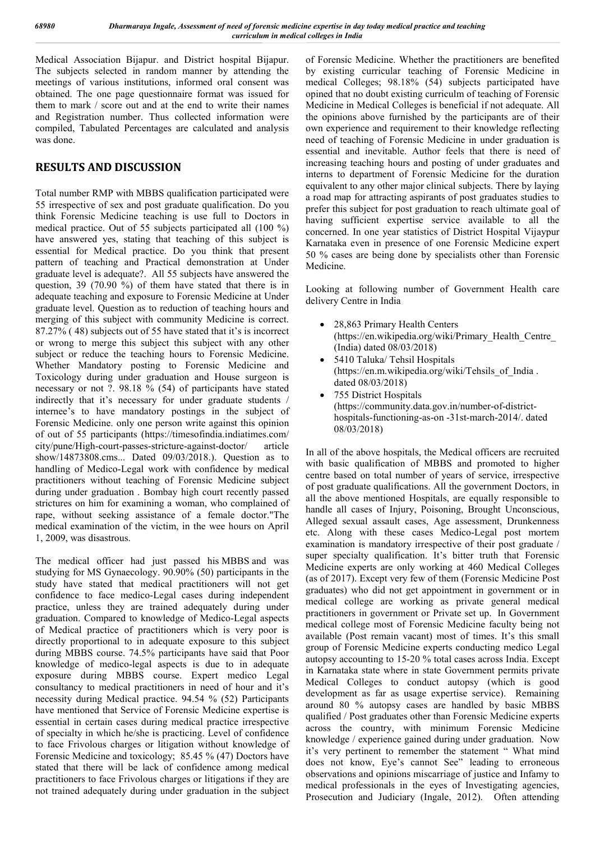Medical Association Bijapur. and District hospital Bijapur. The subjects selected in random manner by attending the meetings of various institutions, informed oral consent was obtained. The one page questionnaire format was issued for them to mark / score out and at the end to write their names and Registration number. Thus collected information were compiled, Tabulated Percentages are calculated and analysis was done.

# **RESULTS AND DISCUSSION**

Total number RMP with MBBS qualification participated were 55 irrespective of sex and post graduate qualification. Do you think Forensic Medicine teaching is use full to Doctors in medical practice. Out of 55 subjects participated all (100 %) have answered yes, stating that teaching of this subject is essential for Medical practice. Do you think that present pattern of teaching and Practical demonstration at Under graduate level is adequate?. All 55 subjects have answered the question, 39 (70.90 %) of them have stated that there is in adequate teaching and exposure to Forensic Medicine at Under graduate level. Question as to reduction of teaching hours and merging of this subject with community Medicine is correct. 87.27% ( 48) subjects out of 55 have stated that it's is incorrect or wrong to merge this subject this subject with any other subject or reduce the teaching hours to Forensic Medicine. Whether Mandatory posting to Forensic Medicine and Toxicology during under graduation and House surgeon is necessary or not ?. 98.18 % (54) of participants have stated indirectly that it's necessary for under graduate students / internee's to have mandatory postings in the subject of Forensic Medicine. only one person write against this opinion of out of 55 participants (https://timesofindia.indiatimes.com/ city/pune/High-court-passes-stricture-against-doctor/ article show/14873808.cms... Dated 09/03/2018.). Question as to handling of Medico-Legal work with confidence by medical practitioners without teaching of Forensic Medicine subject during under graduation . Bombay high court recently passed strictures on him for examining a woman, who complained of rape, without seeking assistance of a female doctor."The medical examination of the victim, in the wee hours on April 1, 2009, was disastrous.

The medical officer had just passed his MBBS and was studying for MS Gynaecology. 90.90% (50) participants in the study have stated that medical practitioners will not get confidence to face medico-Legal cases during independent practice, unless they are trained adequately during under graduation. Compared to knowledge of Medico-Legal aspects of Medical practice of practitioners which is very poor is directly proportional to in adequate exposure to this subject during MBBS course. 74.5% participants have said that Poor knowledge of medico-legal aspects is due to in adequate exposure during MBBS course. Expert medico Legal consultancy to medical practitioners in need of hour and it's necessity during Medical practice. 94.54 % (52) Participants have mentioned that Service of Forensic Medicine expertise is essential in certain cases during medical practice irrespective of specialty in which he/she is practicing. Level of confidence to face Frivolous charges or litigation without knowledge of Forensic Medicine and toxicology; 85.45 % (47) Doctors have stated that there will be lack of confidence among medical practitioners to face Frivolous charges or litigations if they are not trained adequately during under graduation in the subject of Forensic Medicine. Whether the practitioners are benefited by existing curricular teaching of Forensic Medicine in medical Colleges; 98.18% (54) subjects participated have opined that no doubt existing curriculm of teaching of Forensic Medicine in Medical Colleges is beneficial if not adequate. All the opinions above furnished by the participants are of their own experience and requirement to their knowledge reflecting need of teaching of Forensic Medicine in under graduation is essential and inevitable. Author feels that there is need of increasing teaching hours and posting of under graduates and interns to department of Forensic Medicine for the duration equivalent to any other major clinical subjects. There by laying a road map for attracting aspirants of post graduates studies to prefer this subject for post graduation to reach ultimate goal of having sufficient expertise service available to all the concerned. In one year statistics of District Hospital Vijaypur Karnataka even in presence of one Forensic Medicine expert 50 % cases are being done by specialists other than Forensic Medicine.

Looking at following number of Government Health care delivery Centre in India

- 28,863 Primary Health Centers (https://en.wikipedia.org/wiki/Primary\_Health\_Centre\_ (India) dated 08/03/2018)
- 5410 Taluka/ Tehsil Hospitals (https://en.m.wikipedia.org/wiki/Tehsils\_of\_India . dated 08/03/2018)
- 755 District Hospitals (https://community.data.gov.in/number-of-districthospitals-functioning-as-on -31st-march-2014/. dated 08/03/2018)

In all of the above hospitals, the Medical officers are recruited with basic qualification of MBBS and promoted to higher centre based on total number of years of service, irrespective of post graduate qualifications. All the government Doctors, in all the above mentioned Hospitals, are equally responsible to handle all cases of Injury, Poisoning, Brought Unconscious, Alleged sexual assault cases, Age assessment, Drunkenness etc. Along with these cases Medico-Legal post mortem examination is mandatory irrespective of their post graduate / super specialty qualification. It's bitter truth that Forensic Medicine experts are only working at 460 Medical Colleges (as of 2017). Except very few of them (Forensic Medicine Post graduates) who did not get appointment in government or in medical college are working as private general medical practitioners in government or Private set up. In Government medical college most of Forensic Medicine faculty being not available (Post remain vacant) most of times. It's this small group of Forensic Medicine experts conducting medico Legal autopsy accounting to 15-20 % total cases across India. Except in Karnataka state where in state Government permits private Medical Colleges to conduct autopsy (which is good development as far as usage expertise service). Remaining around 80 % autopsy cases are handled by basic MBBS qualified / Post graduates other than Forensic Medicine experts across the country, with minimum Forensic Medicine knowledge / experience gained during under graduation. Now it's very pertinent to remember the statement " What mind does not know, Eye's cannot See" leading to erroneous observations and opinions miscarriage of justice and Infamy to medical professionals in the eyes of Investigating agencies, Prosecution and Judiciary (Ingale, 2012). Often attending